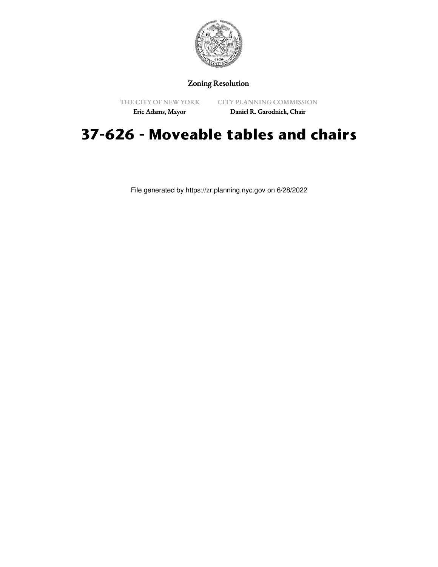

## Zoning Resolution

THE CITY OF NEW YORK

CITY PLANNING COMMISSION

Eric Adams, Mayor

Daniel R. Garodnick, Chair

## **37-626 - Moveable tables and chairs**

File generated by https://zr.planning.nyc.gov on 6/28/2022